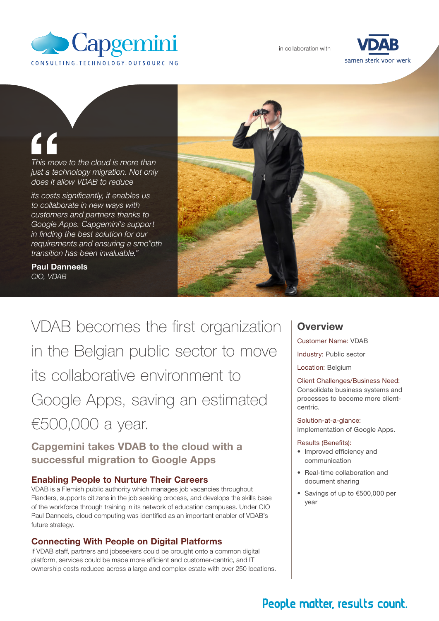

in collaboration with



# "

*This move to the cloud is more than just a technology migration. Not only does it allow VDAB to reduce* 

*its costs significantly, it enables us to collaborate in new ways with customers and partners thanks to Google Apps. Capgemini's support in finding the best solution for our requirements and ensuring a smo"oth transition has been invaluable."*

Paul Danneels *CIO, VDAB*



VDAB becomes the first organization in the Belgian public sector to move its collaborative environment to Google Apps, saving an estimated €500,000 a year.

Capgemini takes VDAB to the cloud with a successful migration to Google Apps

#### Enabling People to Nurture Their Careers

VDAB is a Flemish public authority which manages job vacancies throughout Flanders, supports citizens in the job seeking process, and develops the skills base of the workforce through training in its network of education campuses. Under CIO Paul Danneels, cloud computing was identified as an important enabler of VDAB's future strategy.

#### Connecting With People on Digital Platforms

If VDAB staff, partners and jobseekers could be brought onto a common digital platform, services could be made more efficient and customer-centric, and IT ownership costs reduced across a large and complex estate with over 250 locations.

### **Overview**

Customer Name: VDAB

Industry: Public sector

Location: Belgium

Client Challenges/Business Need: Consolidate business systems and processes to become more clientcentric.

Solution-at-a-glance: Implementation of Google Apps.

#### Results (Benefits):

- Improved efficiency and communication
- Real-time collaboration and document sharing
- • Savings of up to €500,000 per year

# People matter, results count.